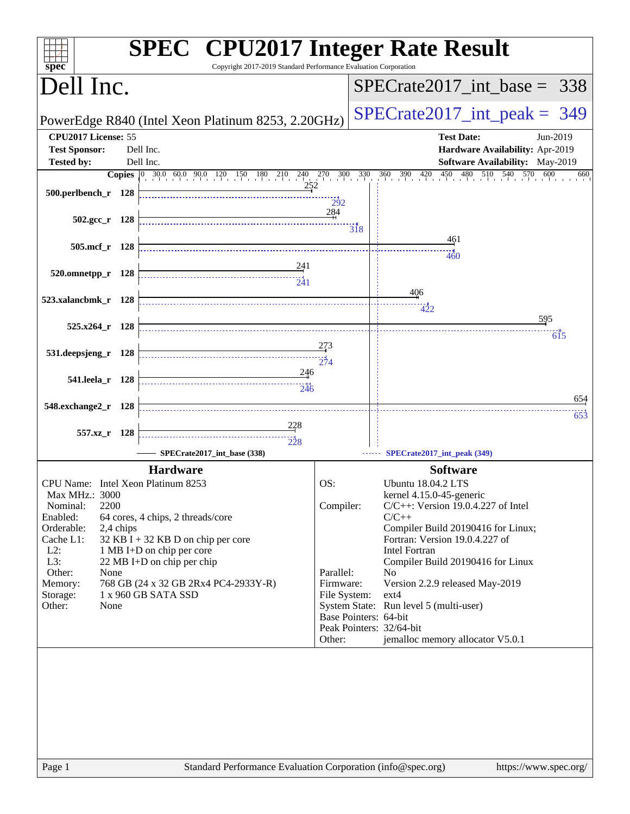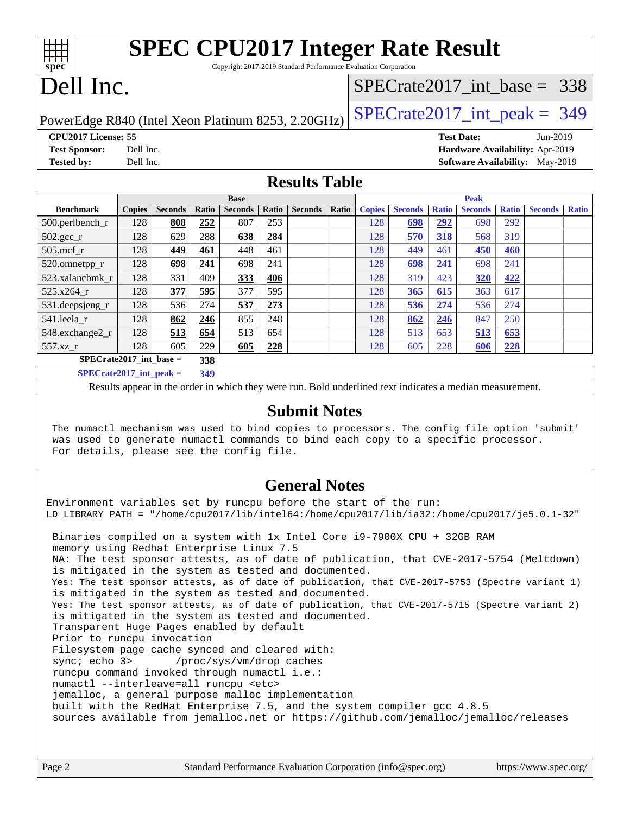| <b>SPEC CPU2017 Integer Rate Result</b>                                                                  |                                                     |                |       |                |       |                |       |               |                                 |              |                |              |                |              |  |  |
|----------------------------------------------------------------------------------------------------------|-----------------------------------------------------|----------------|-------|----------------|-------|----------------|-------|---------------|---------------------------------|--------------|----------------|--------------|----------------|--------------|--|--|
| spec<br>Copyright 2017-2019 Standard Performance Evaluation Corporation                                  |                                                     |                |       |                |       |                |       |               |                                 |              |                |              |                |              |  |  |
| Dell Inc.                                                                                                |                                                     |                |       |                |       |                |       |               | $SPECTate2017\_int\_base = 338$ |              |                |              |                |              |  |  |
| $SPECTate2017\_int\_peak = 349$<br>PowerEdge R840 (Intel Xeon Platinum 8253, 2.20GHz)                    |                                                     |                |       |                |       |                |       |               |                                 |              |                |              |                |              |  |  |
| CPU <sub>2017</sub> License: 55<br><b>Test Date:</b><br>Jun-2019                                         |                                                     |                |       |                |       |                |       |               |                                 |              |                |              |                |              |  |  |
| <b>Test Sponsor:</b><br>Hardware Availability: Apr-2019<br>Dell Inc.                                     |                                                     |                |       |                |       |                |       |               |                                 |              |                |              |                |              |  |  |
| <b>Tested by:</b>                                                                                        | Dell Inc.<br><b>Software Availability:</b> May-2019 |                |       |                |       |                |       |               |                                 |              |                |              |                |              |  |  |
| <b>Results Table</b>                                                                                     |                                                     |                |       |                |       |                |       |               |                                 |              |                |              |                |              |  |  |
|                                                                                                          | <b>Base</b>                                         |                |       |                |       |                |       |               | <b>Peak</b>                     |              |                |              |                |              |  |  |
| <b>Benchmark</b>                                                                                         | <b>Copies</b>                                       | <b>Seconds</b> | Ratio | <b>Seconds</b> | Ratio | <b>Seconds</b> | Ratio | <b>Copies</b> | <b>Seconds</b>                  | <b>Ratio</b> | <b>Seconds</b> | <b>Ratio</b> | <b>Seconds</b> | <b>Ratio</b> |  |  |
| $500.$ perlbench_r                                                                                       | 128                                                 | 808            | 252   | 807            | 253   |                |       | 128           | 698                             | 292          | 698            | 292          |                |              |  |  |
| $502.\text{gcc}$ _r                                                                                      | 128                                                 | 629            | 288   | 638            | 284   |                |       | 128           | 570                             | 318          | 568            | 319          |                |              |  |  |
| 505.mcf r                                                                                                | 128                                                 | 449            | 461   | 448            | 461   |                |       | 128           | 449                             | 461          | 450            | 460          |                |              |  |  |
| 520.omnetpp_r                                                                                            | 128                                                 | 698            | 241   | 698            | 241   |                |       | 128           | 698                             | 241          | 698            | 241          |                |              |  |  |
| 523.xalancbmk r                                                                                          | 128                                                 | 331            | 409   | 333            | 406   |                |       | 128           | 319                             | 423          | 320            | 422          |                |              |  |  |
| 525.x264 r                                                                                               | 128                                                 | 377            | 595   | 377            | 595   |                |       | 128           | 365                             | 615          | 363            | 617          |                |              |  |  |
| 531.deepsjeng_r                                                                                          | 128                                                 | 536            | 274   | 537            | 273   |                |       | 128           | 536                             | 274          | 536            | 274          |                |              |  |  |
| 541.leela_r                                                                                              | 128                                                 | 862            | 246   | 855            | 248   |                |       | 128           | 862                             | 246          | 847            | 250          |                |              |  |  |
| 548.exchange2_r                                                                                          | 128                                                 | 513            | 654   | 513            | 654   |                |       | 128           | 513                             | 653          | 513            | 653          |                |              |  |  |
| $557.xz_r$                                                                                               | 128                                                 | 605            | 229   | 605            | 228   |                |       | 128           | 605                             | 228          | 606            | 228          |                |              |  |  |
| $SPECrate2017$ int base =                                                                                |                                                     |                | 338   |                |       |                |       |               |                                 |              |                |              |                |              |  |  |
| $SPECrate2017\_int\_peak =$                                                                              |                                                     |                | 349   |                |       |                |       |               |                                 |              |                |              |                |              |  |  |
| Results appear in the order in which they were run. Bold underlined text indicates a median measurement. |                                                     |                |       |                |       |                |       |               |                                 |              |                |              |                |              |  |  |
|                                                                                                          |                                                     |                |       |                |       |                |       |               |                                 |              |                |              |                |              |  |  |

### **[Submit Notes](http://www.spec.org/auto/cpu2017/Docs/result-fields.html#SubmitNotes)**

 The numactl mechanism was used to bind copies to processors. The config file option 'submit' was used to generate numactl commands to bind each copy to a specific processor. For details, please see the config file.

### **[General Notes](http://www.spec.org/auto/cpu2017/Docs/result-fields.html#GeneralNotes)**

Environment variables set by runcpu before the start of the run: LD\_LIBRARY\_PATH = "/home/cpu2017/lib/intel64:/home/cpu2017/lib/ia32:/home/cpu2017/je5.0.1-32" Binaries compiled on a system with 1x Intel Core i9-7900X CPU + 32GB RAM memory using Redhat Enterprise Linux 7.5 NA: The test sponsor attests, as of date of publication, that CVE-2017-5754 (Meltdown) is mitigated in the system as tested and documented. Yes: The test sponsor attests, as of date of publication, that CVE-2017-5753 (Spectre variant 1) is mitigated in the system as tested and documented. Yes: The test sponsor attests, as of date of publication, that CVE-2017-5715 (Spectre variant 2) is mitigated in the system as tested and documented. Transparent Huge Pages enabled by default Prior to runcpu invocation Filesystem page cache synced and cleared with: sync; echo 3> /proc/sys/vm/drop\_caches runcpu command invoked through numactl i.e.: numactl --interleave=all runcpu <etc> jemalloc, a general purpose malloc implementation built with the RedHat Enterprise 7.5, and the system compiler gcc 4.8.5 sources available from jemalloc.net or <https://github.com/jemalloc/jemalloc/releases>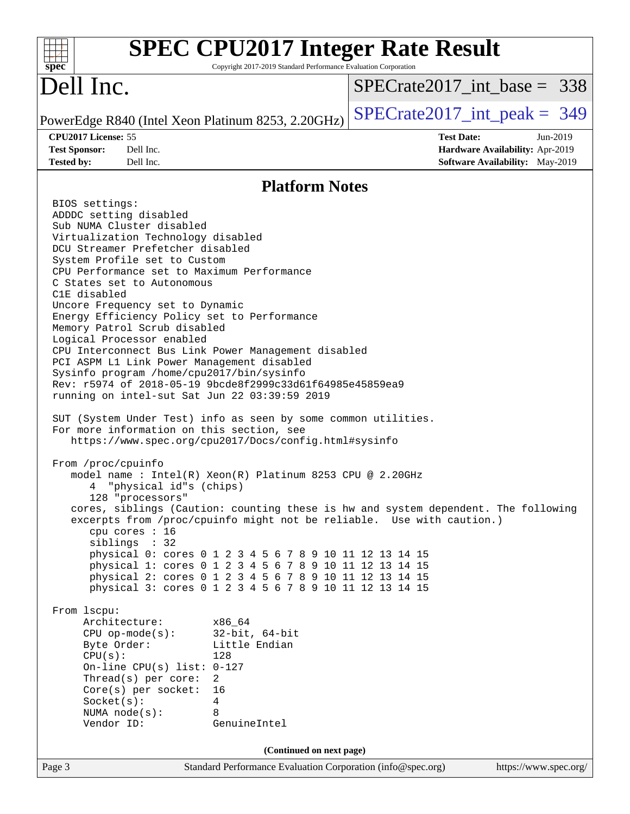| <b>SPEC CPU2017 Integer Rate Result</b><br>spec <sup>®</sup><br>Copyright 2017-2019 Standard Performance Evaluation Corporation                                                                                                                                                                                                                                                                                                                                                                                                                                                                                                                                                                                                                                                                                                                                                                                                                                                                                                                                                                                                                                                                                                                                                                                                                                                                                                                                                                                                                                                                                                                                                       |                                                                                                            |
|---------------------------------------------------------------------------------------------------------------------------------------------------------------------------------------------------------------------------------------------------------------------------------------------------------------------------------------------------------------------------------------------------------------------------------------------------------------------------------------------------------------------------------------------------------------------------------------------------------------------------------------------------------------------------------------------------------------------------------------------------------------------------------------------------------------------------------------------------------------------------------------------------------------------------------------------------------------------------------------------------------------------------------------------------------------------------------------------------------------------------------------------------------------------------------------------------------------------------------------------------------------------------------------------------------------------------------------------------------------------------------------------------------------------------------------------------------------------------------------------------------------------------------------------------------------------------------------------------------------------------------------------------------------------------------------|------------------------------------------------------------------------------------------------------------|
| Dell Inc.                                                                                                                                                                                                                                                                                                                                                                                                                                                                                                                                                                                                                                                                                                                                                                                                                                                                                                                                                                                                                                                                                                                                                                                                                                                                                                                                                                                                                                                                                                                                                                                                                                                                             | $SPECrate2017$ int base = 338                                                                              |
| PowerEdge R840 (Intel Xeon Platinum 8253, 2.20GHz)                                                                                                                                                                                                                                                                                                                                                                                                                                                                                                                                                                                                                                                                                                                                                                                                                                                                                                                                                                                                                                                                                                                                                                                                                                                                                                                                                                                                                                                                                                                                                                                                                                    | $SPECrate2017\_int\_peak = 349$                                                                            |
| CPU2017 License: 55<br>Dell Inc.<br><b>Test Sponsor:</b><br>Dell Inc.<br><b>Tested by:</b>                                                                                                                                                                                                                                                                                                                                                                                                                                                                                                                                                                                                                                                                                                                                                                                                                                                                                                                                                                                                                                                                                                                                                                                                                                                                                                                                                                                                                                                                                                                                                                                            | <b>Test Date:</b><br>Jun-2019<br><b>Hardware Availability: Apr-2019</b><br>Software Availability: May-2019 |
| <b>Platform Notes</b>                                                                                                                                                                                                                                                                                                                                                                                                                                                                                                                                                                                                                                                                                                                                                                                                                                                                                                                                                                                                                                                                                                                                                                                                                                                                                                                                                                                                                                                                                                                                                                                                                                                                 |                                                                                                            |
| BIOS settings:<br>ADDDC setting disabled<br>Sub NUMA Cluster disabled<br>Virtualization Technology disabled<br>DCU Streamer Prefetcher disabled<br>System Profile set to Custom<br>CPU Performance set to Maximum Performance<br>C States set to Autonomous<br>C1E disabled<br>Uncore Frequency set to Dynamic<br>Energy Efficiency Policy set to Performance<br>Memory Patrol Scrub disabled<br>Logical Processor enabled<br>CPU Interconnect Bus Link Power Management disabled<br>PCI ASPM L1 Link Power Management disabled<br>Sysinfo program /home/cpu2017/bin/sysinfo<br>Rev: r5974 of 2018-05-19 9bcde8f2999c33d61f64985e45859ea9<br>running on intel-sut Sat Jun 22 03:39:59 2019<br>SUT (System Under Test) info as seen by some common utilities.<br>For more information on this section, see<br>https://www.spec.org/cpu2017/Docs/config.html#sysinfo<br>From /proc/cpuinfo<br>model name: $Intel(R)$ Xeon $(R)$ Platinum 8253 CPU @ 2.20GHz<br>"physical id"s (chips)<br>4<br>128 "processors"<br>excerpts from /proc/cpuinfo might not be reliable. Use with caution.)<br>cpu cores : 16<br>siblings : 32<br>physical 0: cores 0 1 2 3 4 5 6 7 8 9 10 11 12 13 14 15<br>physical 1: cores 0 1 2 3 4 5 6 7 8 9 10 11 12 13 14 15<br>physical 2: cores 0 1 2 3 4 5 6 7 8 9 10 11 12 13 14 15<br>physical 3: cores 0 1 2 3 4 5 6 7 8 9 10 11 12 13 14 15<br>From lscpu:<br>Architecture:<br>x86 64<br>$32$ -bit, $64$ -bit<br>$CPU$ op-mode( $s$ ):<br>Byte Order:<br>Little Endian<br>CPU(s):<br>128<br>On-line CPU(s) list: $0-127$<br>Thread(s) per core:<br>2<br>$Core(s)$ per socket:<br>16<br>Socket(s):<br>4<br>8<br>NUMA $node(s):$<br>Vendor ID:<br>GenuineIntel | cores, siblings (Caution: counting these is hw and system dependent. The following                         |
| (Continued on next page)                                                                                                                                                                                                                                                                                                                                                                                                                                                                                                                                                                                                                                                                                                                                                                                                                                                                                                                                                                                                                                                                                                                                                                                                                                                                                                                                                                                                                                                                                                                                                                                                                                                              |                                                                                                            |
| Standard Performance Evaluation Corporation (info@spec.org)<br>Page 3                                                                                                                                                                                                                                                                                                                                                                                                                                                                                                                                                                                                                                                                                                                                                                                                                                                                                                                                                                                                                                                                                                                                                                                                                                                                                                                                                                                                                                                                                                                                                                                                                 | https://www.spec.org/                                                                                      |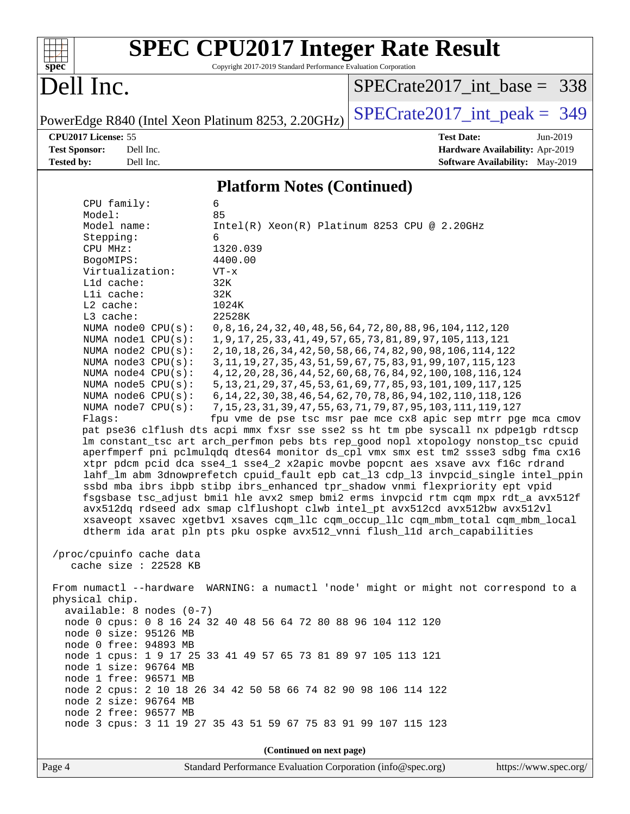

# **[SPEC CPU2017 Integer Rate Result](http://www.spec.org/auto/cpu2017/Docs/result-fields.html#SPECCPU2017IntegerRateResult)**

Copyright 2017-2019 Standard Performance Evaluation Corporation

### Dell Inc.

[SPECrate2017\\_int\\_base =](http://www.spec.org/auto/cpu2017/Docs/result-fields.html#SPECrate2017intbase) 338

PowerEdge R840 (Intel Xeon Platinum 8253, 2.20GHz)  $\text{SPECrate}2017\_int\_peak = 349$ 

**[CPU2017 License:](http://www.spec.org/auto/cpu2017/Docs/result-fields.html#CPU2017License)** 55 **[Test Date:](http://www.spec.org/auto/cpu2017/Docs/result-fields.html#TestDate)** Jun-2019 **[Test Sponsor:](http://www.spec.org/auto/cpu2017/Docs/result-fields.html#TestSponsor)** Dell Inc. **[Hardware Availability:](http://www.spec.org/auto/cpu2017/Docs/result-fields.html#HardwareAvailability)** Apr-2019 **[Tested by:](http://www.spec.org/auto/cpu2017/Docs/result-fields.html#Testedby)** Dell Inc. Dell Inc. **[Software Availability:](http://www.spec.org/auto/cpu2017/Docs/result-fields.html#SoftwareAvailability)** May-2019

### **[Platform Notes \(Continued\)](http://www.spec.org/auto/cpu2017/Docs/result-fields.html#PlatformNotes)**

| CPU family:                                       | 6                                                                                                                                                                    |  |  |  |  |  |  |
|---------------------------------------------------|----------------------------------------------------------------------------------------------------------------------------------------------------------------------|--|--|--|--|--|--|
| Model:                                            | 85                                                                                                                                                                   |  |  |  |  |  |  |
| Model name:                                       | $Intel(R)$ Xeon $(R)$ Platinum 8253 CPU @ 2.20GHz                                                                                                                    |  |  |  |  |  |  |
| Stepping:                                         | 6                                                                                                                                                                    |  |  |  |  |  |  |
| CPU MHz:                                          | 1320.039                                                                                                                                                             |  |  |  |  |  |  |
| BogoMIPS:                                         | 4400.00                                                                                                                                                              |  |  |  |  |  |  |
| Virtualization:                                   | $VT - x$<br>32K                                                                                                                                                      |  |  |  |  |  |  |
| Lld cache:<br>Lli cache:                          | 32K                                                                                                                                                                  |  |  |  |  |  |  |
| L2 cache:                                         | 1024K                                                                                                                                                                |  |  |  |  |  |  |
| L3 cache:                                         | 22528K                                                                                                                                                               |  |  |  |  |  |  |
| NUMA node0 CPU(s):                                | 0, 8, 16, 24, 32, 40, 48, 56, 64, 72, 80, 88, 96, 104, 112, 120                                                                                                      |  |  |  |  |  |  |
| NUMA nodel $CPU(s):$                              | 1, 9, 17, 25, 33, 41, 49, 57, 65, 73, 81, 89, 97, 105, 113, 121                                                                                                      |  |  |  |  |  |  |
| NUMA $node2$ $CPU(s)$ :                           | 2, 10, 18, 26, 34, 42, 50, 58, 66, 74, 82, 90, 98, 106, 114, 122                                                                                                     |  |  |  |  |  |  |
| NUMA node3 CPU(s):                                | 3, 11, 19, 27, 35, 43, 51, 59, 67, 75, 83, 91, 99, 107, 115, 123                                                                                                     |  |  |  |  |  |  |
| NUMA $node4$ $CPU(s):$                            | 4, 12, 20, 28, 36, 44, 52, 60, 68, 76, 84, 92, 100, 108, 116, 124                                                                                                    |  |  |  |  |  |  |
| NUMA node5 $CPU(s):$                              | 5, 13, 21, 29, 37, 45, 53, 61, 69, 77, 85, 93, 101, 109, 117, 125                                                                                                    |  |  |  |  |  |  |
| NUMA node6 CPU(s):                                | 6, 14, 22, 30, 38, 46, 54, 62, 70, 78, 86, 94, 102, 110, 118, 126                                                                                                    |  |  |  |  |  |  |
| NUMA node7 CPU(s):                                | 7, 15, 23, 31, 39, 47, 55, 63, 71, 79, 87, 95, 103, 111, 119, 127                                                                                                    |  |  |  |  |  |  |
| Flags:                                            | fpu vme de pse tsc msr pae mce cx8 apic sep mtrr pge mca cmov                                                                                                        |  |  |  |  |  |  |
|                                                   | pat pse36 clflush dts acpi mmx fxsr sse sse2 ss ht tm pbe syscall nx pdpelgb rdtscp                                                                                  |  |  |  |  |  |  |
|                                                   | lm constant_tsc art arch_perfmon pebs bts rep_good nopl xtopology nonstop_tsc cpuid                                                                                  |  |  |  |  |  |  |
|                                                   | aperfmperf pni pclmulqdq dtes64 monitor ds_cpl vmx smx est tm2 ssse3 sdbg fma cx16<br>xtpr pdcm pcid dca sse4_1 sse4_2 x2apic movbe popcnt aes xsave avx f16c rdrand |  |  |  |  |  |  |
|                                                   | lahf_lm abm 3dnowprefetch cpuid_fault epb cat_13 cdp_13 invpcid_single intel_ppin                                                                                    |  |  |  |  |  |  |
|                                                   | ssbd mba ibrs ibpb stibp ibrs_enhanced tpr_shadow vnmi flexpriority ept vpid                                                                                         |  |  |  |  |  |  |
|                                                   | fsgsbase tsc_adjust bmil hle avx2 smep bmi2 erms invpcid rtm cqm mpx rdt_a avx512f                                                                                   |  |  |  |  |  |  |
|                                                   | avx512dq rdseed adx smap clflushopt clwb intel_pt avx512cd avx512bw avx512vl                                                                                         |  |  |  |  |  |  |
|                                                   | xsaveopt xsavec xgetbvl xsaves cqm_llc cqm_occup_llc cqm_mbm_total cqm_mbm_local                                                                                     |  |  |  |  |  |  |
|                                                   | dtherm ida arat pln pts pku ospke avx512_vnni flush_lld arch_capabilities                                                                                            |  |  |  |  |  |  |
|                                                   |                                                                                                                                                                      |  |  |  |  |  |  |
| /proc/cpuinfo cache data<br>cache size : 22528 KB |                                                                                                                                                                      |  |  |  |  |  |  |
|                                                   |                                                                                                                                                                      |  |  |  |  |  |  |
|                                                   | From numactl --hardware WARNING: a numactl 'node' might or might not correspond to a                                                                                 |  |  |  |  |  |  |
| physical chip.                                    |                                                                                                                                                                      |  |  |  |  |  |  |
| $available: 8 nodes (0-7)$                        |                                                                                                                                                                      |  |  |  |  |  |  |
|                                                   | node 0 cpus: 0 8 16 24 32 40 48 56 64 72 80 88 96 104 112 120                                                                                                        |  |  |  |  |  |  |
| node 0 size: 95126 MB                             |                                                                                                                                                                      |  |  |  |  |  |  |
| node 0 free: 94893 MB                             |                                                                                                                                                                      |  |  |  |  |  |  |
|                                                   | node 1 cpus: 1 9 17 25 33 41 49 57 65 73 81 89 97 105 113 121                                                                                                        |  |  |  |  |  |  |
| node 1 size: 96764 MB                             |                                                                                                                                                                      |  |  |  |  |  |  |
| node 1 free: 96571 MB                             |                                                                                                                                                                      |  |  |  |  |  |  |
| node 2 size: 96764 MB                             | node 2 cpus: 2 10 18 26 34 42 50 58 66 74 82 90 98 106 114 122                                                                                                       |  |  |  |  |  |  |
| node 2 free: 96577 MB                             |                                                                                                                                                                      |  |  |  |  |  |  |
|                                                   | node 3 cpus: 3 11 19 27 35 43 51 59 67 75 83 91 99 107 115 123                                                                                                       |  |  |  |  |  |  |
|                                                   |                                                                                                                                                                      |  |  |  |  |  |  |
| (Continued on next page)                          |                                                                                                                                                                      |  |  |  |  |  |  |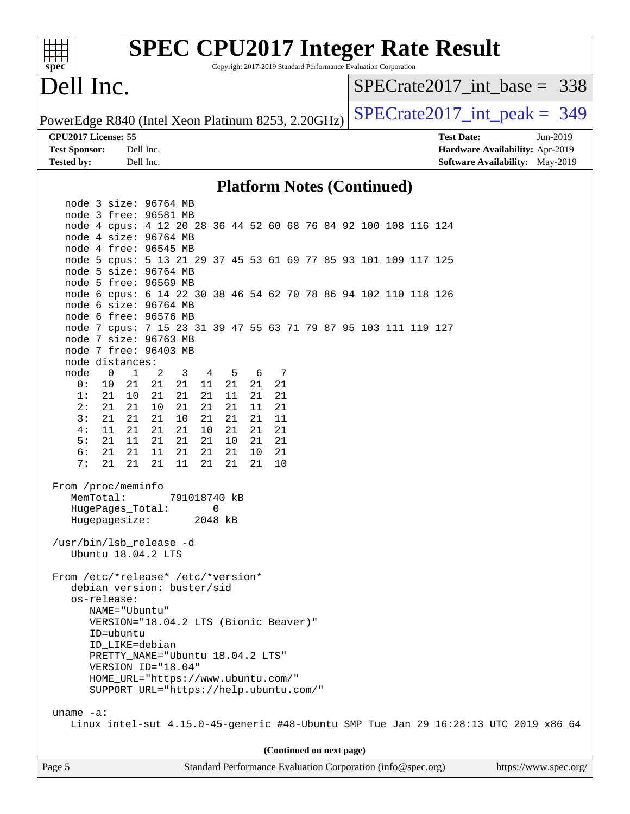| spec <sup>®</sup>                                  |                                                                                          |           |              |          |          |          |    |   |                          |  | Copyright 2017-2019 Standard Performance Evaluation Corporation | <b>SPEC CPU2017 Integer Rate Result</b> |                                 |                       |
|----------------------------------------------------|------------------------------------------------------------------------------------------|-----------|--------------|----------|----------|----------|----|---|--------------------------|--|-----------------------------------------------------------------|-----------------------------------------|---------------------------------|-----------------------|
| Dell Inc.                                          |                                                                                          |           |              |          |          |          |    |   |                          |  |                                                                 |                                         | $SPECrate2017$ int base = 338   |                       |
| PowerEdge R840 (Intel Xeon Platinum 8253, 2.20GHz) |                                                                                          |           |              |          |          |          |    |   |                          |  |                                                                 |                                         | $SPECrate2017\_int\_peak = 349$ |                       |
| CPU2017 License: 55                                |                                                                                          |           |              |          |          |          |    |   |                          |  |                                                                 | <b>Test Date:</b>                       |                                 | Jun-2019              |
| <b>Test Sponsor:</b>                               |                                                                                          | Dell Inc. |              |          |          |          |    |   |                          |  |                                                                 |                                         | Hardware Availability: Apr-2019 |                       |
| <b>Tested by:</b>                                  |                                                                                          | Dell Inc. |              |          |          |          |    |   |                          |  |                                                                 |                                         | Software Availability: May-2019 |                       |
|                                                    |                                                                                          |           |              |          |          |          |    |   |                          |  | <b>Platform Notes (Continued)</b>                               |                                         |                                 |                       |
|                                                    | node 3 size: 96764 MB                                                                    |           |              |          |          |          |    |   |                          |  |                                                                 |                                         |                                 |                       |
|                                                    | node 3 free: 96581 MB                                                                    |           |              |          |          |          |    |   |                          |  |                                                                 |                                         |                                 |                       |
|                                                    | node 4 cpus: 4 12 20 28 36 44 52 60 68 76 84 92 100 108 116 124                          |           |              |          |          |          |    |   |                          |  |                                                                 |                                         |                                 |                       |
|                                                    | node 4 size: 96764 MB                                                                    |           |              |          |          |          |    |   |                          |  |                                                                 |                                         |                                 |                       |
|                                                    | node 4 free: 96545 MB                                                                    |           |              |          |          |          |    |   |                          |  |                                                                 |                                         |                                 |                       |
|                                                    | node 5 cpus: 5 13 21 29 37 45 53 61 69 77 85 93 101 109 117 125                          |           |              |          |          |          |    |   |                          |  |                                                                 |                                         |                                 |                       |
|                                                    | node 5 size: 96764 MB                                                                    |           |              |          |          |          |    |   |                          |  |                                                                 |                                         |                                 |                       |
|                                                    | node 5 free: 96569 MB                                                                    |           |              |          |          |          |    |   |                          |  |                                                                 |                                         |                                 |                       |
|                                                    | node 6 cpus: 6 14 22 30 38 46 54 62 70 78 86 94 102 110 118 126                          |           |              |          |          |          |    |   |                          |  |                                                                 |                                         |                                 |                       |
|                                                    | node 6 size: 96764 MB                                                                    |           |              |          |          |          |    |   |                          |  |                                                                 |                                         |                                 |                       |
|                                                    | node 6 free: 96576 MB                                                                    |           |              |          |          |          |    |   |                          |  |                                                                 |                                         |                                 |                       |
|                                                    | node 7 cpus: 7 15 23 31 39 47 55 63 71 79 87 95 103 111 119 127<br>node 7 size: 96763 MB |           |              |          |          |          |    |   |                          |  |                                                                 |                                         |                                 |                       |
|                                                    | node 7 free: 96403 MB                                                                    |           |              |          |          |          |    |   |                          |  |                                                                 |                                         |                                 |                       |
|                                                    | node distances:                                                                          |           |              |          |          |          |    |   |                          |  |                                                                 |                                         |                                 |                       |
| node                                               | $\mathbf 0$<br>$\mathbf{1}$                                                              | 2         | 3            | 4        | 5        | 6        |    | 7 |                          |  |                                                                 |                                         |                                 |                       |
| 0:                                                 | 10<br>21                                                                                 | 21        | 21           | 11       | 21       | 21       | 21 |   |                          |  |                                                                 |                                         |                                 |                       |
| 1:                                                 | 21<br>10                                                                                 | 21        | 21           | 21       | 11       | 21       | 21 |   |                          |  |                                                                 |                                         |                                 |                       |
| 2:                                                 | 21<br>21                                                                                 | 10        | 21           | 21       | 21       | 11       | 21 |   |                          |  |                                                                 |                                         |                                 |                       |
| 3:                                                 | 21<br>21                                                                                 | 21        | 10           | 21       | 21       | 21       | 11 |   |                          |  |                                                                 |                                         |                                 |                       |
| 4 :                                                | 11<br>21                                                                                 | 21        | 21           | 10       | 21       | 21       | 21 |   |                          |  |                                                                 |                                         |                                 |                       |
| 5:                                                 | 21<br>11                                                                                 | 21        | 21           | 21       | 10       | 21       | 21 |   |                          |  |                                                                 |                                         |                                 |                       |
| 6:<br>7:                                           | 21<br>21<br>21<br>21                                                                     | 11<br>21  | 21<br>11     | 21<br>21 | 21<br>21 | 10<br>21 | 21 |   |                          |  |                                                                 |                                         |                                 |                       |
|                                                    |                                                                                          |           |              |          |          |          | 10 |   |                          |  |                                                                 |                                         |                                 |                       |
|                                                    | From /proc/meminfo                                                                       |           |              |          |          |          |    |   |                          |  |                                                                 |                                         |                                 |                       |
|                                                    | MemTotal:                                                                                |           | 791018740 kB |          |          |          |    |   |                          |  |                                                                 |                                         |                                 |                       |
|                                                    | HugePages_Total:                                                                         |           |              | 0        |          |          |    |   |                          |  |                                                                 |                                         |                                 |                       |
|                                                    | Hugepagesize:                                                                            |           |              | 2048 kB  |          |          |    |   |                          |  |                                                                 |                                         |                                 |                       |
|                                                    |                                                                                          |           |              |          |          |          |    |   |                          |  |                                                                 |                                         |                                 |                       |
|                                                    | /usr/bin/lsb_release -d                                                                  |           |              |          |          |          |    |   |                          |  |                                                                 |                                         |                                 |                       |
|                                                    | Ubuntu 18.04.2 LTS                                                                       |           |              |          |          |          |    |   |                          |  |                                                                 |                                         |                                 |                       |
|                                                    |                                                                                          |           |              |          |          |          |    |   |                          |  |                                                                 |                                         |                                 |                       |
|                                                    | From /etc/*release* /etc/*version*<br>debian_version: buster/sid                         |           |              |          |          |          |    |   |                          |  |                                                                 |                                         |                                 |                       |
|                                                    | os-release:                                                                              |           |              |          |          |          |    |   |                          |  |                                                                 |                                         |                                 |                       |
|                                                    | NAME="Ubuntu"                                                                            |           |              |          |          |          |    |   |                          |  |                                                                 |                                         |                                 |                       |
|                                                    | VERSION="18.04.2 LTS (Bionic Beaver)"                                                    |           |              |          |          |          |    |   |                          |  |                                                                 |                                         |                                 |                       |
|                                                    | ID=ubuntu                                                                                |           |              |          |          |          |    |   |                          |  |                                                                 |                                         |                                 |                       |
|                                                    | ID_LIKE=debian                                                                           |           |              |          |          |          |    |   |                          |  |                                                                 |                                         |                                 |                       |
|                                                    | PRETTY_NAME="Ubuntu 18.04.2 LTS"                                                         |           |              |          |          |          |    |   |                          |  |                                                                 |                                         |                                 |                       |
|                                                    | VERSION_ID="18.04"                                                                       |           |              |          |          |          |    |   |                          |  |                                                                 |                                         |                                 |                       |
|                                                    | HOME_URL="https://www.ubuntu.com/"                                                       |           |              |          |          |          |    |   |                          |  |                                                                 |                                         |                                 |                       |
|                                                    | SUPPORT_URL="https://help.ubuntu.com/"                                                   |           |              |          |          |          |    |   |                          |  |                                                                 |                                         |                                 |                       |
| uname $-a$ :                                       |                                                                                          |           |              |          |          |          |    |   |                          |  |                                                                 |                                         |                                 |                       |
|                                                    | Linux intel-sut 4.15.0-45-generic #48-Ubuntu SMP Tue Jan 29 16:28:13 UTC 2019 x86_64     |           |              |          |          |          |    |   |                          |  |                                                                 |                                         |                                 |                       |
|                                                    |                                                                                          |           |              |          |          |          |    |   |                          |  |                                                                 |                                         |                                 |                       |
|                                                    |                                                                                          |           |              |          |          |          |    |   | (Continued on next page) |  |                                                                 |                                         |                                 |                       |
| Page 5                                             |                                                                                          |           |              |          |          |          |    |   |                          |  | Standard Performance Evaluation Corporation (info@spec.org)     |                                         |                                 | https://www.spec.org/ |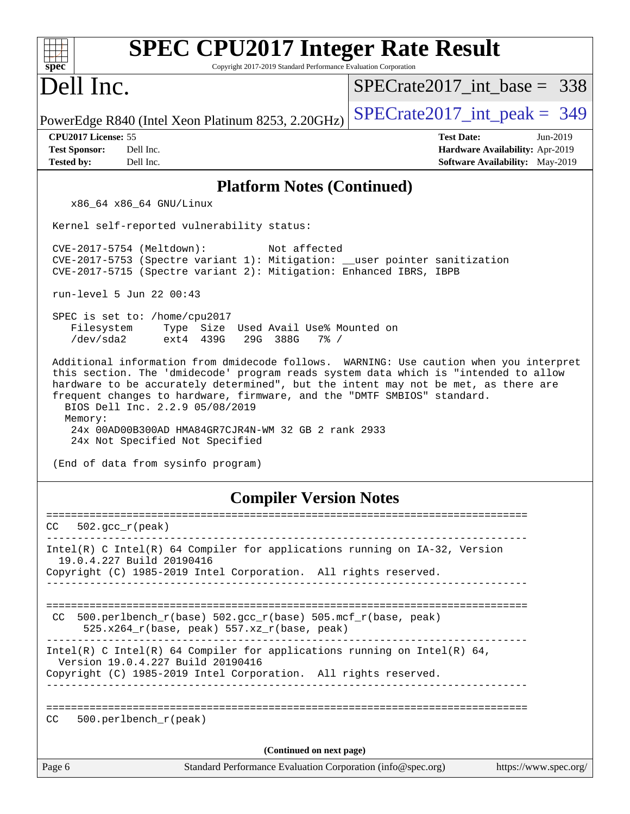| <b>SPEC CPU2017 Integer Rate Result</b><br>Copyright 2017-2019 Standard Performance Evaluation Corporation<br>$spec^*$                                                                                                                                                                                                                                                                                                             |                                                                                                              |
|------------------------------------------------------------------------------------------------------------------------------------------------------------------------------------------------------------------------------------------------------------------------------------------------------------------------------------------------------------------------------------------------------------------------------------|--------------------------------------------------------------------------------------------------------------|
| Dell Inc.                                                                                                                                                                                                                                                                                                                                                                                                                          | $SPECrate2017$ int base = 338                                                                                |
| PowerEdge R840 (Intel Xeon Platinum 8253, 2.20GHz)                                                                                                                                                                                                                                                                                                                                                                                 | $SPECrate2017\_int\_peak = 349$                                                                              |
| CPU2017 License: 55<br>Dell Inc.<br><b>Test Sponsor:</b><br><b>Tested by:</b><br>Dell Inc.                                                                                                                                                                                                                                                                                                                                         | <b>Test Date:</b><br>$Jun-2019$<br>Hardware Availability: Apr-2019<br><b>Software Availability:</b> May-2019 |
| <b>Platform Notes (Continued)</b>                                                                                                                                                                                                                                                                                                                                                                                                  |                                                                                                              |
| x86_64 x86_64 GNU/Linux                                                                                                                                                                                                                                                                                                                                                                                                            |                                                                                                              |
| Kernel self-reported vulnerability status:                                                                                                                                                                                                                                                                                                                                                                                         |                                                                                                              |
| CVE-2017-5754 (Meltdown):<br>Not affected<br>CVE-2017-5753 (Spectre variant 1): Mitigation: __user pointer sanitization<br>CVE-2017-5715 (Spectre variant 2): Mitigation: Enhanced IBRS, IBPB                                                                                                                                                                                                                                      |                                                                                                              |
| run-level 5 Jun 22 00:43                                                                                                                                                                                                                                                                                                                                                                                                           |                                                                                                              |
| SPEC is set to: /home/cpu2017<br>Filesystem<br>Type Size Used Avail Use% Mounted on<br>/dev/sda2<br>ext4 439G<br>29G 388G<br>$7\%$ /                                                                                                                                                                                                                                                                                               |                                                                                                              |
| this section. The 'dmidecode' program reads system data which is "intended to allow<br>hardware to be accurately determined", but the intent may not be met, as there are<br>frequent changes to hardware, firmware, and the "DMTF SMBIOS" standard.<br>BIOS Dell Inc. 2.2.9 05/08/2019<br>Memory:<br>24x 00AD00B300AD HMA84GR7CJR4N-WM 32 GB 2 rank 2933<br>24x Not Specified Not Specified<br>(End of data from sysinfo program) |                                                                                                              |
| <b>Compiler Version Notes</b>                                                                                                                                                                                                                                                                                                                                                                                                      |                                                                                                              |
| CC<br>$502.\text{gcc}_r(\text{peak})$                                                                                                                                                                                                                                                                                                                                                                                              |                                                                                                              |
| Intel(R) C Intel(R) 64 Compiler for applications running on IA-32, Version<br>19.0.4.227 Build 20190416<br>Copyright (C) 1985-2019 Intel Corporation. All rights reserved.                                                                                                                                                                                                                                                         |                                                                                                              |
| 500.perlbench_r(base) 502.gcc_r(base) 505.mcf_r(base, peak)<br>CC.<br>$525.x264_r(base, peak) 557.xz_r(base, peak)$                                                                                                                                                                                                                                                                                                                |                                                                                                              |
| Intel(R) C Intel(R) 64 Compiler for applications running on Intel(R) 64,<br>Version 19.0.4.227 Build 20190416<br>Copyright (C) 1985-2019 Intel Corporation. All rights reserved.<br>_________________________                                                                                                                                                                                                                      |                                                                                                              |
| CC<br>500.perlbench_r(peak)                                                                                                                                                                                                                                                                                                                                                                                                        |                                                                                                              |
| (Continued on next page)                                                                                                                                                                                                                                                                                                                                                                                                           |                                                                                                              |
| Page 6<br>Standard Performance Evaluation Corporation (info@spec.org)                                                                                                                                                                                                                                                                                                                                                              | https://www.spec.org/                                                                                        |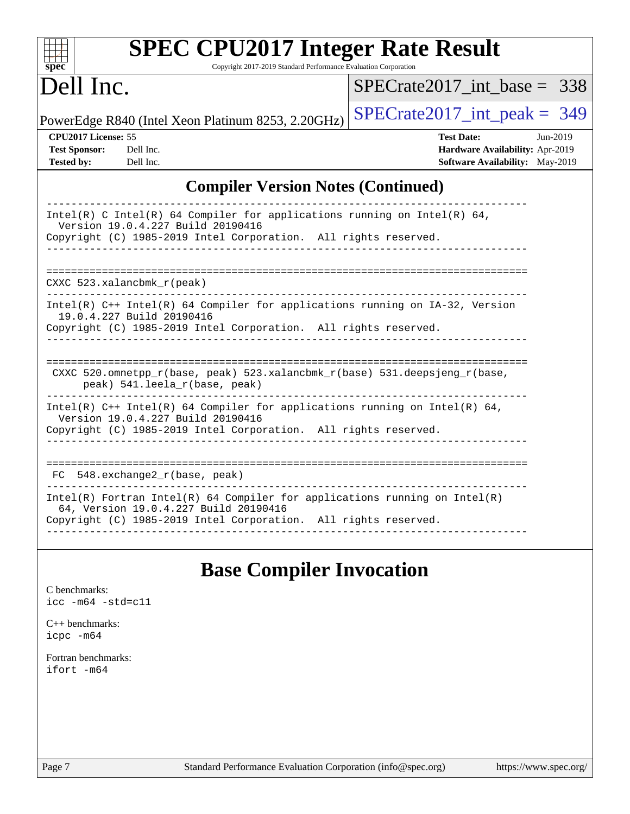| <b>SPEC CPU2017 Integer Rate Result</b><br>Copyright 2017-2019 Standard Performance Evaluation Corporation                                                                                                               |                                                                                                            |
|--------------------------------------------------------------------------------------------------------------------------------------------------------------------------------------------------------------------------|------------------------------------------------------------------------------------------------------------|
| $spec^*$<br>Dell Inc.                                                                                                                                                                                                    | $SPECrate2017$ int base = 338                                                                              |
|                                                                                                                                                                                                                          |                                                                                                            |
| PowerEdge R840 (Intel Xeon Platinum 8253, 2.20GHz)                                                                                                                                                                       | $SPECrate2017\_int\_peak = 349$                                                                            |
| CPU2017 License: 55<br><b>Test Sponsor:</b><br>Dell Inc.<br><b>Tested by:</b><br>Dell Inc.                                                                                                                               | <b>Test Date:</b><br>Jun-2019<br>Hardware Availability: Apr-2019<br><b>Software Availability:</b> May-2019 |
| <b>Compiler Version Notes (Continued)</b>                                                                                                                                                                                |                                                                                                            |
| Intel(R) C Intel(R) 64 Compiler for applications running on Intel(R) 64,<br>Version 19.0.4.227 Build 20190416<br>Copyright (C) 1985-2019 Intel Corporation. All rights reserved.                                         |                                                                                                            |
| CXXC $523.$ xalancbmk $r(\text{peak})$<br>$Intel(R)$ C++ Intel(R) 64 Compiler for applications running on IA-32, Version<br>19.0.4.227 Build 20190416<br>Copyright (C) 1985-2019 Intel Corporation. All rights reserved. |                                                                                                            |
| CXXC 520.omnetpp_r(base, peak) 523.xalancbmk_r(base) 531.deepsjeng_r(base,<br>peak) 541.leela_r(base, peak)                                                                                                              |                                                                                                            |
| Intel(R) $C++$ Intel(R) 64 Compiler for applications running on Intel(R) 64,<br>Version 19.0.4.227 Build 20190416<br>Copyright (C) 1985-2019 Intel Corporation. All rights reserved.                                     |                                                                                                            |
| 548.exchange2_r(base, peak)<br>FC.                                                                                                                                                                                       |                                                                                                            |
| $Intel(R)$ Fortran Intel(R) 64 Compiler for applications running on Intel(R)<br>64, Version 19.0.4.227 Build 20190416<br>Copyright (C) 1985-2019 Intel Corporation. All rights reserved.                                 |                                                                                                            |
| <b>Base Compiler Invocation</b>                                                                                                                                                                                          |                                                                                                            |

[C benchmarks](http://www.spec.org/auto/cpu2017/Docs/result-fields.html#Cbenchmarks): [icc -m64 -std=c11](http://www.spec.org/cpu2017/results/res2019q3/cpu2017-20190708-15994.flags.html#user_CCbase_intel_icc_64bit_c11_33ee0cdaae7deeeab2a9725423ba97205ce30f63b9926c2519791662299b76a0318f32ddfffdc46587804de3178b4f9328c46fa7c2b0cd779d7a61945c91cd35)

[C++ benchmarks:](http://www.spec.org/auto/cpu2017/Docs/result-fields.html#CXXbenchmarks) [icpc -m64](http://www.spec.org/cpu2017/results/res2019q3/cpu2017-20190708-15994.flags.html#user_CXXbase_intel_icpc_64bit_4ecb2543ae3f1412ef961e0650ca070fec7b7afdcd6ed48761b84423119d1bf6bdf5cad15b44d48e7256388bc77273b966e5eb805aefd121eb22e9299b2ec9d9)

[Fortran benchmarks](http://www.spec.org/auto/cpu2017/Docs/result-fields.html#Fortranbenchmarks): [ifort -m64](http://www.spec.org/cpu2017/results/res2019q3/cpu2017-20190708-15994.flags.html#user_FCbase_intel_ifort_64bit_24f2bb282fbaeffd6157abe4f878425411749daecae9a33200eee2bee2fe76f3b89351d69a8130dd5949958ce389cf37ff59a95e7a40d588e8d3a57e0c3fd751)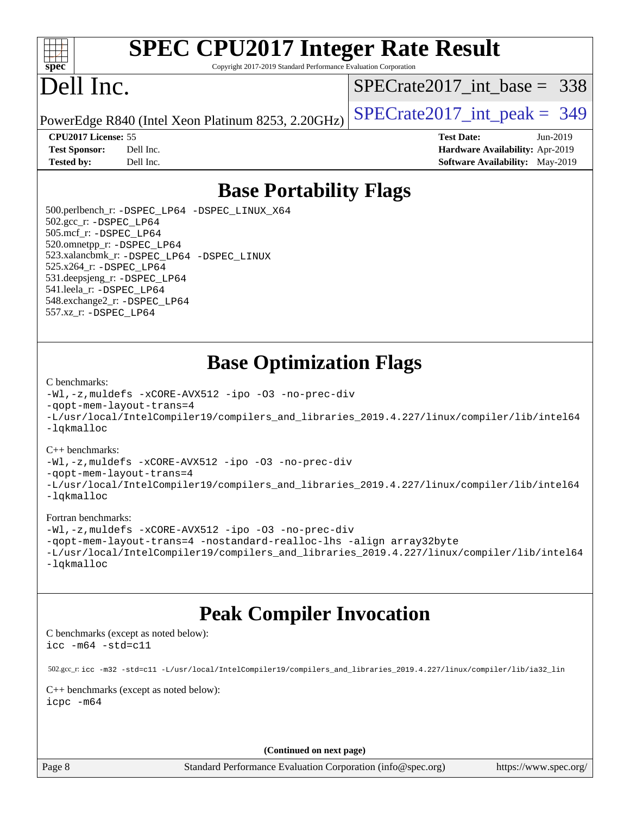

# **[SPEC CPU2017 Integer Rate Result](http://www.spec.org/auto/cpu2017/Docs/result-fields.html#SPECCPU2017IntegerRateResult)**

Copyright 2017-2019 Standard Performance Evaluation Corporation

## Dell Inc.

[SPECrate2017\\_int\\_base =](http://www.spec.org/auto/cpu2017/Docs/result-fields.html#SPECrate2017intbase) 338

PowerEdge R840 (Intel Xeon Platinum 8253, 2.20GHz)  $\left|$  [SPECrate2017\\_int\\_peak =](http://www.spec.org/auto/cpu2017/Docs/result-fields.html#SPECrate2017intpeak) 349

**[Test Sponsor:](http://www.spec.org/auto/cpu2017/Docs/result-fields.html#TestSponsor)** Dell Inc. **[Hardware Availability:](http://www.spec.org/auto/cpu2017/Docs/result-fields.html#HardwareAvailability)** Apr-2019 **[Tested by:](http://www.spec.org/auto/cpu2017/Docs/result-fields.html#Testedby)** Dell Inc. **[Software Availability:](http://www.spec.org/auto/cpu2017/Docs/result-fields.html#SoftwareAvailability)** May-2019

**[CPU2017 License:](http://www.spec.org/auto/cpu2017/Docs/result-fields.html#CPU2017License)** 55 **[Test Date:](http://www.spec.org/auto/cpu2017/Docs/result-fields.html#TestDate)** Jun-2019

**[Base Portability Flags](http://www.spec.org/auto/cpu2017/Docs/result-fields.html#BasePortabilityFlags)**

 500.perlbench\_r: [-DSPEC\\_LP64](http://www.spec.org/cpu2017/results/res2019q3/cpu2017-20190708-15994.flags.html#b500.perlbench_r_basePORTABILITY_DSPEC_LP64) [-DSPEC\\_LINUX\\_X64](http://www.spec.org/cpu2017/results/res2019q3/cpu2017-20190708-15994.flags.html#b500.perlbench_r_baseCPORTABILITY_DSPEC_LINUX_X64) 502.gcc\_r: [-DSPEC\\_LP64](http://www.spec.org/cpu2017/results/res2019q3/cpu2017-20190708-15994.flags.html#suite_basePORTABILITY502_gcc_r_DSPEC_LP64) 505.mcf\_r: [-DSPEC\\_LP64](http://www.spec.org/cpu2017/results/res2019q3/cpu2017-20190708-15994.flags.html#suite_basePORTABILITY505_mcf_r_DSPEC_LP64) 520.omnetpp\_r: [-DSPEC\\_LP64](http://www.spec.org/cpu2017/results/res2019q3/cpu2017-20190708-15994.flags.html#suite_basePORTABILITY520_omnetpp_r_DSPEC_LP64) 523.xalancbmk\_r: [-DSPEC\\_LP64](http://www.spec.org/cpu2017/results/res2019q3/cpu2017-20190708-15994.flags.html#suite_basePORTABILITY523_xalancbmk_r_DSPEC_LP64) [-DSPEC\\_LINUX](http://www.spec.org/cpu2017/results/res2019q3/cpu2017-20190708-15994.flags.html#b523.xalancbmk_r_baseCXXPORTABILITY_DSPEC_LINUX) 525.x264\_r: [-DSPEC\\_LP64](http://www.spec.org/cpu2017/results/res2019q3/cpu2017-20190708-15994.flags.html#suite_basePORTABILITY525_x264_r_DSPEC_LP64) 531.deepsjeng\_r: [-DSPEC\\_LP64](http://www.spec.org/cpu2017/results/res2019q3/cpu2017-20190708-15994.flags.html#suite_basePORTABILITY531_deepsjeng_r_DSPEC_LP64) 541.leela\_r: [-DSPEC\\_LP64](http://www.spec.org/cpu2017/results/res2019q3/cpu2017-20190708-15994.flags.html#suite_basePORTABILITY541_leela_r_DSPEC_LP64) 548.exchange2\_r: [-DSPEC\\_LP64](http://www.spec.org/cpu2017/results/res2019q3/cpu2017-20190708-15994.flags.html#suite_basePORTABILITY548_exchange2_r_DSPEC_LP64) 557.xz\_r: [-DSPEC\\_LP64](http://www.spec.org/cpu2017/results/res2019q3/cpu2017-20190708-15994.flags.html#suite_basePORTABILITY557_xz_r_DSPEC_LP64)

### **[Base Optimization Flags](http://www.spec.org/auto/cpu2017/Docs/result-fields.html#BaseOptimizationFlags)**

### [C benchmarks](http://www.spec.org/auto/cpu2017/Docs/result-fields.html#Cbenchmarks):

[-Wl,-z,muldefs](http://www.spec.org/cpu2017/results/res2019q3/cpu2017-20190708-15994.flags.html#user_CCbase_link_force_multiple1_b4cbdb97b34bdee9ceefcfe54f4c8ea74255f0b02a4b23e853cdb0e18eb4525ac79b5a88067c842dd0ee6996c24547a27a4b99331201badda8798ef8a743f577) [-xCORE-AVX512](http://www.spec.org/cpu2017/results/res2019q3/cpu2017-20190708-15994.flags.html#user_CCbase_f-xCORE-AVX512) [-ipo](http://www.spec.org/cpu2017/results/res2019q3/cpu2017-20190708-15994.flags.html#user_CCbase_f-ipo) [-O3](http://www.spec.org/cpu2017/results/res2019q3/cpu2017-20190708-15994.flags.html#user_CCbase_f-O3) [-no-prec-div](http://www.spec.org/cpu2017/results/res2019q3/cpu2017-20190708-15994.flags.html#user_CCbase_f-no-prec-div) [-qopt-mem-layout-trans=4](http://www.spec.org/cpu2017/results/res2019q3/cpu2017-20190708-15994.flags.html#user_CCbase_f-qopt-mem-layout-trans_fa39e755916c150a61361b7846f310bcdf6f04e385ef281cadf3647acec3f0ae266d1a1d22d972a7087a248fd4e6ca390a3634700869573d231a252c784941a8) [-L/usr/local/IntelCompiler19/compilers\\_and\\_libraries\\_2019.4.227/linux/compiler/lib/intel64](http://www.spec.org/cpu2017/results/res2019q3/cpu2017-20190708-15994.flags.html#user_CCbase_qkmalloc_link_0ffe0cb02c68ef1b443a077c7888c10c67ca0d1dd7138472156f06a085bbad385f78d49618ad55dca9db3b1608e84afc2f69b4003b1d1ca498a9fc1462ccefda) [-lqkmalloc](http://www.spec.org/cpu2017/results/res2019q3/cpu2017-20190708-15994.flags.html#user_CCbase_qkmalloc_link_lib_79a818439969f771c6bc311cfd333c00fc099dad35c030f5aab9dda831713d2015205805422f83de8875488a2991c0a156aaa600e1f9138f8fc37004abc96dc5)

### [C++ benchmarks](http://www.spec.org/auto/cpu2017/Docs/result-fields.html#CXXbenchmarks):

[-Wl,-z,muldefs](http://www.spec.org/cpu2017/results/res2019q3/cpu2017-20190708-15994.flags.html#user_CXXbase_link_force_multiple1_b4cbdb97b34bdee9ceefcfe54f4c8ea74255f0b02a4b23e853cdb0e18eb4525ac79b5a88067c842dd0ee6996c24547a27a4b99331201badda8798ef8a743f577) [-xCORE-AVX512](http://www.spec.org/cpu2017/results/res2019q3/cpu2017-20190708-15994.flags.html#user_CXXbase_f-xCORE-AVX512) [-ipo](http://www.spec.org/cpu2017/results/res2019q3/cpu2017-20190708-15994.flags.html#user_CXXbase_f-ipo) [-O3](http://www.spec.org/cpu2017/results/res2019q3/cpu2017-20190708-15994.flags.html#user_CXXbase_f-O3) [-no-prec-div](http://www.spec.org/cpu2017/results/res2019q3/cpu2017-20190708-15994.flags.html#user_CXXbase_f-no-prec-div)

[-qopt-mem-layout-trans=4](http://www.spec.org/cpu2017/results/res2019q3/cpu2017-20190708-15994.flags.html#user_CXXbase_f-qopt-mem-layout-trans_fa39e755916c150a61361b7846f310bcdf6f04e385ef281cadf3647acec3f0ae266d1a1d22d972a7087a248fd4e6ca390a3634700869573d231a252c784941a8)

[-L/usr/local/IntelCompiler19/compilers\\_and\\_libraries\\_2019.4.227/linux/compiler/lib/intel64](http://www.spec.org/cpu2017/results/res2019q3/cpu2017-20190708-15994.flags.html#user_CXXbase_qkmalloc_link_0ffe0cb02c68ef1b443a077c7888c10c67ca0d1dd7138472156f06a085bbad385f78d49618ad55dca9db3b1608e84afc2f69b4003b1d1ca498a9fc1462ccefda) [-lqkmalloc](http://www.spec.org/cpu2017/results/res2019q3/cpu2017-20190708-15994.flags.html#user_CXXbase_qkmalloc_link_lib_79a818439969f771c6bc311cfd333c00fc099dad35c030f5aab9dda831713d2015205805422f83de8875488a2991c0a156aaa600e1f9138f8fc37004abc96dc5)

### [Fortran benchmarks](http://www.spec.org/auto/cpu2017/Docs/result-fields.html#Fortranbenchmarks):

[-Wl,-z,muldefs](http://www.spec.org/cpu2017/results/res2019q3/cpu2017-20190708-15994.flags.html#user_FCbase_link_force_multiple1_b4cbdb97b34bdee9ceefcfe54f4c8ea74255f0b02a4b23e853cdb0e18eb4525ac79b5a88067c842dd0ee6996c24547a27a4b99331201badda8798ef8a743f577) [-xCORE-AVX512](http://www.spec.org/cpu2017/results/res2019q3/cpu2017-20190708-15994.flags.html#user_FCbase_f-xCORE-AVX512) [-ipo](http://www.spec.org/cpu2017/results/res2019q3/cpu2017-20190708-15994.flags.html#user_FCbase_f-ipo) [-O3](http://www.spec.org/cpu2017/results/res2019q3/cpu2017-20190708-15994.flags.html#user_FCbase_f-O3) [-no-prec-div](http://www.spec.org/cpu2017/results/res2019q3/cpu2017-20190708-15994.flags.html#user_FCbase_f-no-prec-div) [-qopt-mem-layout-trans=4](http://www.spec.org/cpu2017/results/res2019q3/cpu2017-20190708-15994.flags.html#user_FCbase_f-qopt-mem-layout-trans_fa39e755916c150a61361b7846f310bcdf6f04e385ef281cadf3647acec3f0ae266d1a1d22d972a7087a248fd4e6ca390a3634700869573d231a252c784941a8) [-nostandard-realloc-lhs](http://www.spec.org/cpu2017/results/res2019q3/cpu2017-20190708-15994.flags.html#user_FCbase_f_2003_std_realloc_82b4557e90729c0f113870c07e44d33d6f5a304b4f63d4c15d2d0f1fab99f5daaed73bdb9275d9ae411527f28b936061aa8b9c8f2d63842963b95c9dd6426b8a) [-align array32byte](http://www.spec.org/cpu2017/results/res2019q3/cpu2017-20190708-15994.flags.html#user_FCbase_align_array32byte_b982fe038af199962ba9a80c053b8342c548c85b40b8e86eb3cc33dee0d7986a4af373ac2d51c3f7cf710a18d62fdce2948f201cd044323541f22fc0fffc51b6) [-L/usr/local/IntelCompiler19/compilers\\_and\\_libraries\\_2019.4.227/linux/compiler/lib/intel64](http://www.spec.org/cpu2017/results/res2019q3/cpu2017-20190708-15994.flags.html#user_FCbase_qkmalloc_link_0ffe0cb02c68ef1b443a077c7888c10c67ca0d1dd7138472156f06a085bbad385f78d49618ad55dca9db3b1608e84afc2f69b4003b1d1ca498a9fc1462ccefda) [-lqkmalloc](http://www.spec.org/cpu2017/results/res2019q3/cpu2017-20190708-15994.flags.html#user_FCbase_qkmalloc_link_lib_79a818439969f771c6bc311cfd333c00fc099dad35c030f5aab9dda831713d2015205805422f83de8875488a2991c0a156aaa600e1f9138f8fc37004abc96dc5)

### **[Peak Compiler Invocation](http://www.spec.org/auto/cpu2017/Docs/result-fields.html#PeakCompilerInvocation)**

[C benchmarks \(except as noted below\)](http://www.spec.org/auto/cpu2017/Docs/result-fields.html#Cbenchmarksexceptasnotedbelow): [icc -m64 -std=c11](http://www.spec.org/cpu2017/results/res2019q3/cpu2017-20190708-15994.flags.html#user_CCpeak_intel_icc_64bit_c11_33ee0cdaae7deeeab2a9725423ba97205ce30f63b9926c2519791662299b76a0318f32ddfffdc46587804de3178b4f9328c46fa7c2b0cd779d7a61945c91cd35)

502.gcc\_r: [icc -m32 -std=c11 -L/usr/local/IntelCompiler19/compilers\\_and\\_libraries\\_2019.4.227/linux/compiler/lib/ia32\\_lin](http://www.spec.org/cpu2017/results/res2019q3/cpu2017-20190708-15994.flags.html#user_peakCCLD502_gcc_r_intel_icc_38a193a897536fa645efb1dc6ac2bea2bddbbe56f130e144a606d1b2649003f27c79f8814020c1f9355cbbf0d7ab0d194a7a979ee1e2a95641bbb8cf571aac7b)

[C++ benchmarks \(except as noted below\)](http://www.spec.org/auto/cpu2017/Docs/result-fields.html#CXXbenchmarksexceptasnotedbelow): [icpc -m64](http://www.spec.org/cpu2017/results/res2019q3/cpu2017-20190708-15994.flags.html#user_CXXpeak_intel_icpc_64bit_4ecb2543ae3f1412ef961e0650ca070fec7b7afdcd6ed48761b84423119d1bf6bdf5cad15b44d48e7256388bc77273b966e5eb805aefd121eb22e9299b2ec9d9)

**(Continued on next page)**

Page 8 Standard Performance Evaluation Corporation [\(info@spec.org\)](mailto:info@spec.org) <https://www.spec.org/>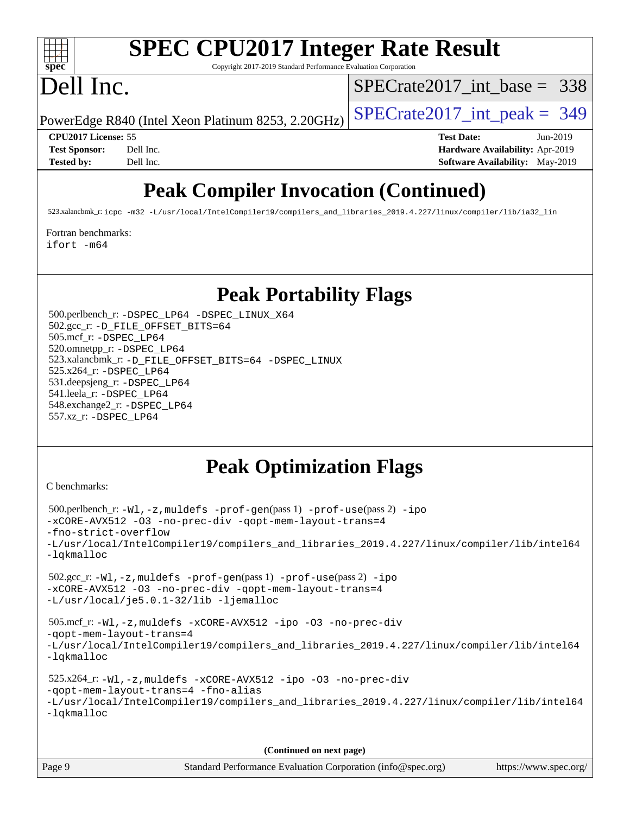

# **[SPEC CPU2017 Integer Rate Result](http://www.spec.org/auto/cpu2017/Docs/result-fields.html#SPECCPU2017IntegerRateResult)**

Copyright 2017-2019 Standard Performance Evaluation Corporation

## Dell Inc.

[SPECrate2017\\_int\\_base =](http://www.spec.org/auto/cpu2017/Docs/result-fields.html#SPECrate2017intbase) 338

PowerEdge R840 (Intel Xeon Platinum 8253, 2.20GHz)  $\left|$  [SPECrate2017\\_int\\_peak =](http://www.spec.org/auto/cpu2017/Docs/result-fields.html#SPECrate2017intpeak) 349

**[CPU2017 License:](http://www.spec.org/auto/cpu2017/Docs/result-fields.html#CPU2017License)** 55 **[Test Date:](http://www.spec.org/auto/cpu2017/Docs/result-fields.html#TestDate)** Jun-2019 **[Test Sponsor:](http://www.spec.org/auto/cpu2017/Docs/result-fields.html#TestSponsor)** Dell Inc. **[Hardware Availability:](http://www.spec.org/auto/cpu2017/Docs/result-fields.html#HardwareAvailability)** Apr-2019 **[Tested by:](http://www.spec.org/auto/cpu2017/Docs/result-fields.html#Testedby)** Dell Inc. Dell Inc. **[Software Availability:](http://www.spec.org/auto/cpu2017/Docs/result-fields.html#SoftwareAvailability)** May-2019

### **[Peak Compiler Invocation \(Continued\)](http://www.spec.org/auto/cpu2017/Docs/result-fields.html#PeakCompilerInvocation)**

523.xalancbmk\_r: [icpc -m32 -L/usr/local/IntelCompiler19/compilers\\_and\\_libraries\\_2019.4.227/linux/compiler/lib/ia32\\_lin](http://www.spec.org/cpu2017/results/res2019q3/cpu2017-20190708-15994.flags.html#user_peakCXXLD523_xalancbmk_r_intel_icpc_840f965b38320ad10acba6032d6ca4c816e722c432c250f3408feae347068ba449f694544a48cf12cd3bde3495e328e6747ab0f629c2925d3062e2ee144af951)

[Fortran benchmarks](http://www.spec.org/auto/cpu2017/Docs/result-fields.html#Fortranbenchmarks):

[ifort -m64](http://www.spec.org/cpu2017/results/res2019q3/cpu2017-20190708-15994.flags.html#user_FCpeak_intel_ifort_64bit_24f2bb282fbaeffd6157abe4f878425411749daecae9a33200eee2bee2fe76f3b89351d69a8130dd5949958ce389cf37ff59a95e7a40d588e8d3a57e0c3fd751)

### **[Peak Portability Flags](http://www.spec.org/auto/cpu2017/Docs/result-fields.html#PeakPortabilityFlags)**

 500.perlbench\_r: [-DSPEC\\_LP64](http://www.spec.org/cpu2017/results/res2019q3/cpu2017-20190708-15994.flags.html#b500.perlbench_r_peakPORTABILITY_DSPEC_LP64) [-DSPEC\\_LINUX\\_X64](http://www.spec.org/cpu2017/results/res2019q3/cpu2017-20190708-15994.flags.html#b500.perlbench_r_peakCPORTABILITY_DSPEC_LINUX_X64) 502.gcc\_r: [-D\\_FILE\\_OFFSET\\_BITS=64](http://www.spec.org/cpu2017/results/res2019q3/cpu2017-20190708-15994.flags.html#user_peakPORTABILITY502_gcc_r_file_offset_bits_64_5ae949a99b284ddf4e95728d47cb0843d81b2eb0e18bdfe74bbf0f61d0b064f4bda2f10ea5eb90e1dcab0e84dbc592acfc5018bc955c18609f94ddb8d550002c) 505.mcf\_r: [-DSPEC\\_LP64](http://www.spec.org/cpu2017/results/res2019q3/cpu2017-20190708-15994.flags.html#suite_peakPORTABILITY505_mcf_r_DSPEC_LP64) 520.omnetpp\_r: [-DSPEC\\_LP64](http://www.spec.org/cpu2017/results/res2019q3/cpu2017-20190708-15994.flags.html#suite_peakPORTABILITY520_omnetpp_r_DSPEC_LP64) 523.xalancbmk\_r: [-D\\_FILE\\_OFFSET\\_BITS=64](http://www.spec.org/cpu2017/results/res2019q3/cpu2017-20190708-15994.flags.html#user_peakPORTABILITY523_xalancbmk_r_file_offset_bits_64_5ae949a99b284ddf4e95728d47cb0843d81b2eb0e18bdfe74bbf0f61d0b064f4bda2f10ea5eb90e1dcab0e84dbc592acfc5018bc955c18609f94ddb8d550002c) [-DSPEC\\_LINUX](http://www.spec.org/cpu2017/results/res2019q3/cpu2017-20190708-15994.flags.html#b523.xalancbmk_r_peakCXXPORTABILITY_DSPEC_LINUX) 525.x264\_r: [-DSPEC\\_LP64](http://www.spec.org/cpu2017/results/res2019q3/cpu2017-20190708-15994.flags.html#suite_peakPORTABILITY525_x264_r_DSPEC_LP64) 531.deepsjeng\_r: [-DSPEC\\_LP64](http://www.spec.org/cpu2017/results/res2019q3/cpu2017-20190708-15994.flags.html#suite_peakPORTABILITY531_deepsjeng_r_DSPEC_LP64) 541.leela\_r: [-DSPEC\\_LP64](http://www.spec.org/cpu2017/results/res2019q3/cpu2017-20190708-15994.flags.html#suite_peakPORTABILITY541_leela_r_DSPEC_LP64) 548.exchange2\_r: [-DSPEC\\_LP64](http://www.spec.org/cpu2017/results/res2019q3/cpu2017-20190708-15994.flags.html#suite_peakPORTABILITY548_exchange2_r_DSPEC_LP64) 557.xz\_r: [-DSPEC\\_LP64](http://www.spec.org/cpu2017/results/res2019q3/cpu2017-20190708-15994.flags.html#suite_peakPORTABILITY557_xz_r_DSPEC_LP64)

### **[Peak Optimization Flags](http://www.spec.org/auto/cpu2017/Docs/result-fields.html#PeakOptimizationFlags)**

[C benchmarks](http://www.spec.org/auto/cpu2017/Docs/result-fields.html#Cbenchmarks):

```
 500.perlbench_r: -Wl,-z,muldefs -prof-gen(pass 1) -prof-use(pass 2) -ipo
-xCORE-AVX512 -O3 -no-prec-div -qopt-mem-layout-trans=4
-fno-strict-overflow
-L/usr/local/IntelCompiler19/compilers_and_libraries_2019.4.227/linux/compiler/lib/intel64
-lqkmalloc
 502.gcc_r: -Wl,-z,muldefs -prof-gen(pass 1) -prof-use(pass 2) -ipo
-xCORE-AVX512 -O3 -no-prec-div -qopt-mem-layout-trans=4
-L/usr/local/je5.0.1-32/lib -ljemalloc
 505.mcf_r: -Wl,-z,muldefs -xCORE-AVX512 -ipo -O3 -no-prec-div
-qopt-mem-layout-trans=4
-L/usr/local/IntelCompiler19/compilers_and_libraries_2019.4.227/linux/compiler/lib/intel64
-lqkmalloc
 525.x264_r: -Wl,-z,muldefs -xCORE-AVX512 -ipo -O3 -no-prec-div
-qopt-mem-layout-trans=4 -fno-alias
-L/usr/local/IntelCompiler19/compilers_and_libraries_2019.4.227/linux/compiler/lib/intel64
-lqkmalloc
```
**(Continued on next page)**

| Page 9 | Standard Performance Evaluation Corporation (info@spec.org) | https://www.spec.org/ |
|--------|-------------------------------------------------------------|-----------------------|
|--------|-------------------------------------------------------------|-----------------------|